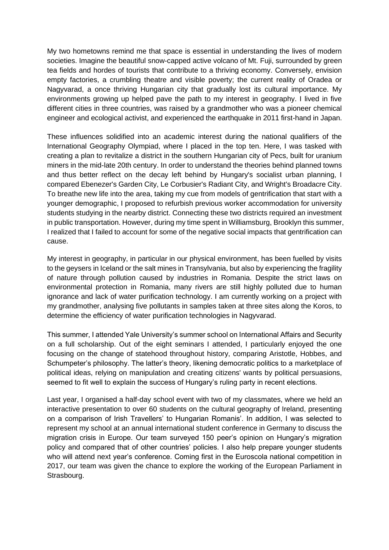My two hometowns remind me that space is essential in understanding the lives of modern societies. Imagine the beautiful snow-capped active volcano of Mt. Fuji, surrounded by green tea fields and hordes of tourists that contribute to a thriving economy. Conversely, envision empty factories, a crumbling theatre and visible poverty; the current reality of Oradea or Nagyvarad, a once thriving Hungarian city that gradually lost its cultural importance. My environments growing up helped pave the path to my interest in geography. I lived in five different cities in three countries, was raised by a grandmother who was a pioneer chemical engineer and ecological activist, and experienced the earthquake in 2011 first-hand in Japan.

These influences solidified into an academic interest during the national qualifiers of the International Geography Olympiad, where I placed in the top ten. Here, I was tasked with creating a plan to revitalize a district in the southern Hungarian city of Pecs, built for uranium miners in the mid-late 20th century. In order to understand the theories behind planned towns and thus better reflect on the decay left behind by Hungary's socialist urban planning, I compared Ebenezer's Garden City, Le Corbusier's Radiant City, and Wright's Broadacre City. To breathe new life into the area, taking my cue from models of gentrification that start with a younger demographic, I proposed to refurbish previous worker accommodation for university students studying in the nearby district. Connecting these two districts required an investment in public transportation. However, during my time spent in Williamsburg, Brooklyn this summer, I realized that I failed to account for some of the negative social impacts that gentrification can cause.

My interest in geography, in particular in our physical environment, has been fuelled by visits to the geysers in Iceland or the salt mines in Transylvania, but also by experiencing the fragility of nature through pollution caused by industries in Romania. Despite the strict laws on environmental protection in Romania, many rivers are still highly polluted due to human ignorance and lack of water purification technology. I am currently working on a project with my grandmother, analysing five pollutants in samples taken at three sites along the Koros, to determine the efficiency of water purification technologies in Nagyvarad.

This summer, I attended Yale University's summer school on International Affairs and Security on a full scholarship. Out of the eight seminars I attended, I particularly enjoyed the one focusing on the change of statehood throughout history, comparing Aristotle, Hobbes, and Schumpeter's philosophy. The latter's theory, likening democratic politics to a marketplace of political ideas, relying on manipulation and creating citizens' wants by political persuasions, seemed to fit well to explain the success of Hungary's ruling party in recent elections.

Last year, I organised a half-day school event with two of my classmates, where we held an interactive presentation to over 60 students on the cultural geography of Ireland, presenting on a comparison of Irish Travellers' to Hungarian Romanis'. In addition, I was selected to represent my school at an annual international student conference in Germany to discuss the migration crisis in Europe. Our team surveyed 150 peer's opinion on Hungary's migration policy and compared that of other countries' policies. I also help prepare younger students who will attend next year's conference. Coming first in the Euroscola national competition in 2017, our team was given the chance to explore the working of the European Parliament in Strasbourg.